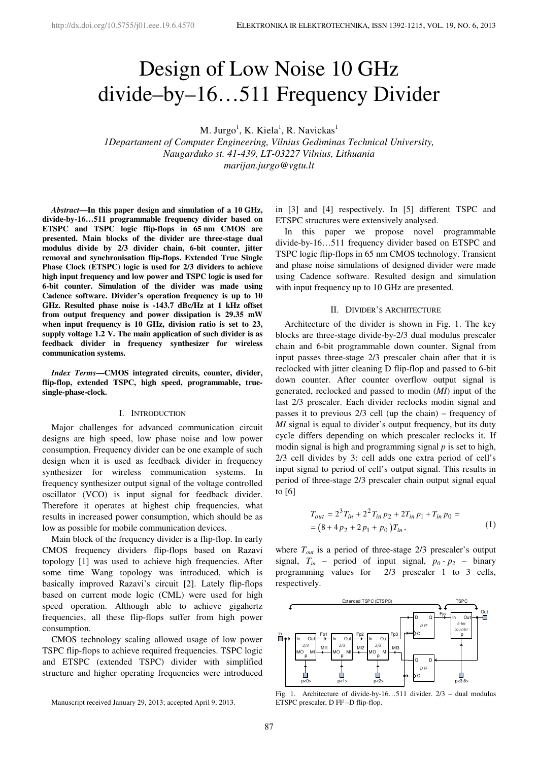# Design of Low Noise 10 GHz divide–by–16…511 Frequency Divider

M. Jurgo<sup>1</sup>, K. Kiela<sup>1</sup>, R. Navickas<sup>1</sup>

*1Departament of Computer Engineering, Vilnius Gediminas Technical University, Naugarduko st. 41-439, LT-03227 Vilnius, Lithuania marijan.jurgo@vgtu.lt* 

*Abstract***—In this paper design and simulation of a 10 GHz, divide-by-16…511 programmable frequency divider based on ETSPC and TSPC logic flip-flops in 65 nm CMOS are presented. Main blocks of the divider are three-stage dual modulus divide by 2/3 divider chain, 6-bit counter, jitter removal and synchronisation flip-flops. Extended True Single Phase Clock (ETSPC) logic is used for 2/3 dividers to achieve high input frequency and low power and TSPC logic is used for 6-bit counter. Simulation of the divider was made using Cadence software. Divider's operation frequency is up to 10 GHz. Resulted phase noise is -143.7 dBc/Hz at 1 kHz offset from output frequency and power dissipation is 29.35 mW when input frequency is 10 GHz, division ratio is set to 23, supply voltage 1.2 V. The main application of such divider is as feedback divider in frequency synthesizer for wireless communication systems.** 

*Index Terms***—CMOS integrated circuits, counter, divider, flip-flop, extended TSPC, high speed, programmable, truesingle-phase-clock.** 

# I. INTRODUCTION

Major challenges for advanced communication circuit designs are high speed, low phase noise and low power consumption. Frequency divider can be one example of such design when it is used as feedback divider in frequency synthesizer for wireless communication systems. In frequency synthesizer output signal of the voltage controlled oscillator (VCO) is input signal for feedback divider. Therefore it operates at highest chip frequencies, what results in increased power consumption, which should be as low as possible for mobile communication devices.

Main block of the frequency divider is a flip-flop. In early CMOS frequency dividers flip-flops based on Razavi topology [1] was used to achieve high frequencies. After some time Wang topology was introduced, which is basically improved Razavi's circuit [2]. Lately flip-flops based on current mode logic (CML) were used for high speed operation. Although able to achieve gigahertz frequencies, all these flip-flops suffer from high power consumption.

CMOS technology scaling allowed usage of low power TSPC flip-flops to achieve required frequencies. TSPC logic and ETSPC (extended TSPC) divider with simplified structure and higher operating frequencies were introduced

Manuscript received January 29, 2013; accepted April 9, 2013.

in [3] and [4] respectively. In [5] different TSPC and ETSPC structures were extensively analysed.

In this paper we propose novel programmable divide-by-16…511 frequency divider based on ETSPC and TSPC logic flip-flops in 65 nm CMOS technology. Transient and phase noise simulations of designed divider were made using Cadence software. Resulted design and simulation with input frequency up to 10 GHz are presented.

#### II. DIVIDER'S ARCHITECTURE

Architecture of the divider is shown in Fig. 1. The key blocks are three-stage divide-by-2/3 dual modulus prescaler chain and 6-bit programmable down counter. Signal from input passes three-stage 2/3 prescaler chain after that it is reclocked with jitter cleaning D flip-flop and passed to 6-bit down counter. After counter overflow output signal is generated, reclocked and passed to modin (*MI*) input of the last 2/3 prescaler. Each divider reclocks modin signal and passes it to previous  $2/3$  cell (up the chain) – frequency of *MI* signal is equal to divider's output frequency, but its duty cycle differs depending on which prescaler reclocks it. If modin signal is high and programming signal *p* is set to high, 2/3 cell divides by 3: cell adds one extra period of cell's input signal to period of cell's output signal. This results in period of three-stage 2/3 prescaler chain output signal equal to [6]

$$
T_{out} = 2^{3}T_{in} + 2^{2}T_{in}p_{2} + 2T_{in}p_{1} + T_{in}p_{0} =
$$
  
= (8 + 4p\_{2} + 2p\_{1} + p\_{0})T\_{in}, (1)

where  $T_{out}$  is a period of three-stage  $2/3$  prescaler's output signal,  $T_{in}$  – period of input signal,  $p_0 - p_2$  – binary programming values for 2/3 prescaler 1 to 3 cells, respectively.



Fig. 1. Architecture of divide-by-16…511 divider. 2/3 – dual modulus ETSPC prescaler, D FF –D flip-flop.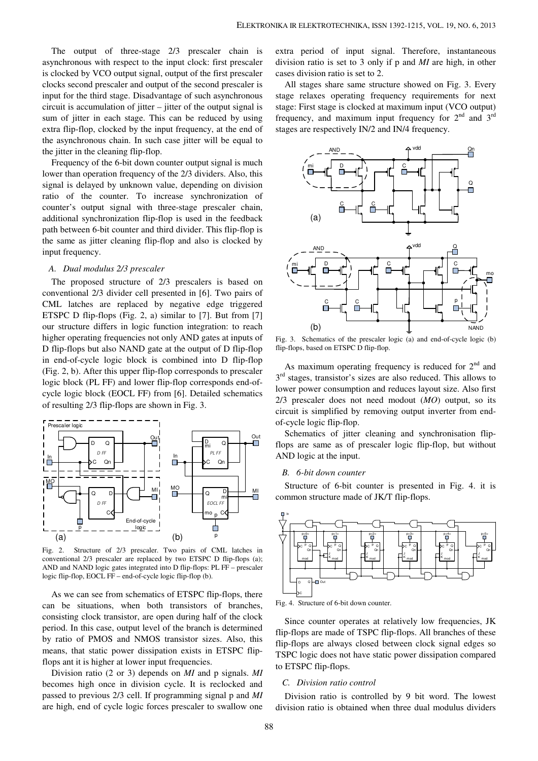The output of three-stage 2/3 prescaler chain is asynchronous with respect to the input clock: first prescaler is clocked by VCO output signal, output of the first prescaler clocks second prescaler and output of the second prescaler is input for the third stage. Disadvantage of such asynchronous circuit is accumulation of jitter – jitter of the output signal is sum of jitter in each stage. This can be reduced by using extra flip-flop, clocked by the input frequency, at the end of the asynchronous chain. In such case jitter will be equal to the jitter in the cleaning flip-flop.

Frequency of the 6-bit down counter output signal is much lower than operation frequency of the 2/3 dividers. Also, this signal is delayed by unknown value, depending on division ratio of the counter. To increase synchronization of counter's output signal with three-stage prescaler chain, additional synchronization flip-flop is used in the feedback path between 6-bit counter and third divider. This flip-flop is the same as jitter cleaning flip-flop and also is clocked by input frequency.

## *A. Dual modulus 2/3 prescaler*

The proposed structure of 2/3 prescalers is based on conventional 2/3 divider cell presented in [6]. Two pairs of CML latches are replaced by negative edge triggered ETSPC D flip-flops (Fig. 2, a) similar to [7]. But from [7] our structure differs in logic function integration: to reach higher operating frequencies not only AND gates at inputs of D flip-flops but also NAND gate at the output of D flip-flop in end-of-cycle logic block is combined into D flip-flop (Fig. 2, b). After this upper flip-flop corresponds to prescaler logic block (PL FF) and lower flip-flop corresponds end-ofcycle logic block (EOCL FF) from [6]. Detailed schematics of resulting 2/3 flip-flops are shown in Fig. 3.



Fig. 2. Structure of 2/3 prescaler. Two pairs of CML latches in conventional 2/3 prescaler are replaced by two ETSPC D flip-flops (a); AND and NAND logic gates integrated into D flip-flops: PL FF – prescaler logic flip-flop, EOCL FF – end-of-cycle logic flip-flop (b).

As we can see from schematics of ETSPC flip-flops, there can be situations, when both transistors of branches, consisting clock transistor, are open during half of the clock period. In this case, output level of the branch is determined by ratio of PMOS and NMOS transistor sizes. Also, this means, that static power dissipation exists in ETSPC flipflops ant it is higher at lower input frequencies.

Division ratio (2 or 3) depends on *MI* and p signals. *MI* becomes high once in division cycle. It is reclocked and passed to previous 2/3 cell. If programming signal p and *MI* are high, end of cycle logic forces prescaler to swallow one extra period of input signal. Therefore, instantaneous division ratio is set to 3 only if p and *MI* are high, in other cases division ratio is set to 2.

All stages share same structure showed on Fig. 3. Every stage relaxes operating frequency requirements for next stage: First stage is clocked at maximum input (VCO output) frequency, and maximum input frequency for  $2<sup>nd</sup>$  and  $3<sup>rd</sup>$ stages are respectively IN/2 and IN/4 frequency.



Fig. 3. Schematics of the prescaler logic (a) and end-of-cycle logic (b) flip-flops, based on ETSPC D flip-flop.

As maximum operating frequency is reduced for  $2<sup>nd</sup>$  and 3<sup>rd</sup> stages, transistor's sizes are also reduced. This allows to lower power consumption and reduces layout size. Also first 2/3 prescaler does not need modout (*MO*) output, so its circuit is simplified by removing output inverter from endof-cycle logic flip-flop.

Schematics of jitter cleaning and synchronisation flipflops are same as of prescaler logic flip-flop, but without AND logic at the input.

#### *B. 6-bit down counter*

Structure of 6-bit counter is presented in Fig. 4. it is common structure made of JK/T flip-flops.



Fig. 4. Structure of 6-bit down counter.

Since counter operates at relatively low frequencies, JK flip-flops are made of TSPC flip-flops. All branches of these flip-flops are always closed between clock signal edges so TSPC logic does not have static power dissipation compared to ETSPC flip-flops.

# *C. Division ratio control*

Division ratio is controlled by 9 bit word. The lowest division ratio is obtained when three dual modulus dividers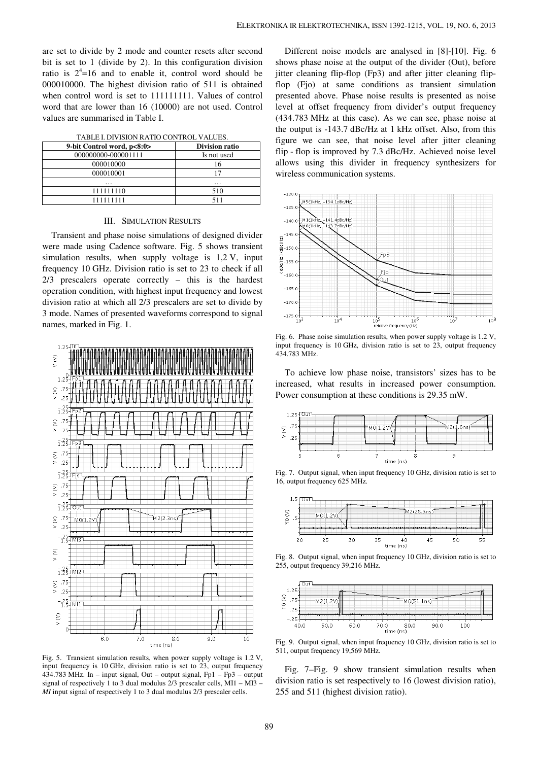are set to divide by 2 mode and counter resets after second bit is set to 1 (divide by 2). In this configuration division ratio is  $2^4$ =16 and to enable it, control word should be 000010000. The highest division ratio of 511 is obtained when control word is set to 111111111. Values of control word that are lower than 16 (10000) are not used. Control values are summarised in Table I.

|  | TABLE I. DIVISION RATIO CONTROL VALUES. |  |  |
|--|-----------------------------------------|--|--|
|--|-----------------------------------------|--|--|

| 9-bit Control word, p<8:0> | <b>Division ratio</b> |  |  |
|----------------------------|-----------------------|--|--|
| 000000000-000001111        | Is not used           |  |  |
| 000010000                  | 16                    |  |  |
| 000010001                  |                       |  |  |
| .                          | $\cdots$              |  |  |
| 111111110                  | 510                   |  |  |
| 111111111                  | 511                   |  |  |

### III. SIMULATION RESULTS

Transient and phase noise simulations of designed divider were made using Cadence software. Fig. 5 shows transient simulation results, when supply voltage is 1,2 V, input frequency 10 GHz. Division ratio is set to 23 to check if all 2/3 prescalers operate correctly – this is the hardest operation condition, with highest input frequency and lowest division ratio at which all 2/3 prescalers are set to divide by 3 mode. Names of presented waveforms correspond to signal names, marked in Fig. 1.



Fig. 5. Transient simulation results, when power supply voltage is 1.2 V, input frequency is 10 GHz, division ratio is set to 23, output frequency 434.783 MHz. In – input signal, Out – output signal, Fp1 – Fp3 – output signal of respectively 1 to 3 dual modulus 2/3 prescaler cells, MI1 – MI3 – *MI* input signal of respectively 1 to 3 dual modulus 2/3 prescaler cells.

Different noise models are analysed in [8]-[10]. Fig. 6 shows phase noise at the output of the divider (Out), before jitter cleaning flip-flop (Fp3) and after jitter cleaning flipflop (Fjo) at same conditions as transient simulation presented above. Phase noise results is presented as noise level at offset frequency from divider's output frequency (434.783 MHz at this case). As we can see, phase noise at the output is -143.7 dBc/Hz at 1 kHz offset. Also, from this figure we can see, that noise level after jitter cleaning flip - flop is improved by 7.3 dBc/Hz. Achieved noise level allows using this divider in frequency synthesizers for wireless communication systems.



Fig. 6. Phase noise simulation results, when power supply voltage is 1.2 V, input frequency is 10 GHz, division ratio is set to 23, output frequency 434.783 MHz.

To achieve low phase noise, transistors' sizes has to be increased, what results in increased power consumption. Power consumption at these conditions is 29.35 mW.



Fig. 7. Output signal, when input frequency 10 GHz, division ratio is set to 16, output frequency 625 MHz.



Fig. 8. Output signal, when input frequency 10 GHz, division ratio is set to 255, output frequency 39,216 MHz.



Fig. 9. Output signal, when input frequency 10 GHz, division ratio is set to 511, output frequency 19,569 MHz.

Fig. 7–Fig. 9 show transient simulation results when division ratio is set respectively to 16 (lowest division ratio), 255 and 511 (highest division ratio).